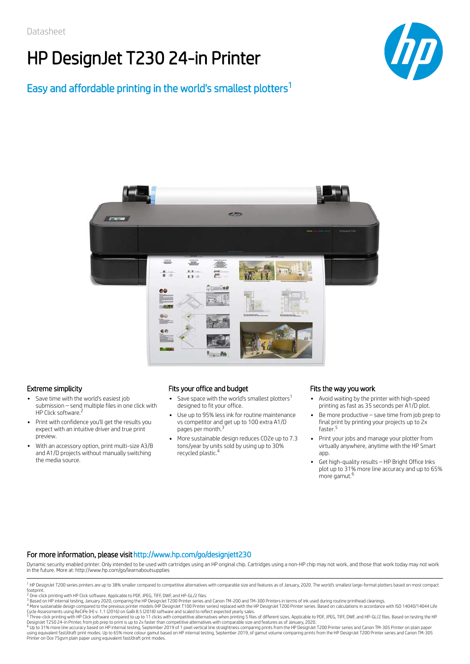# HP DesignJet T230 24-in Printer

## Easy and affordable printing in the world's smallest plotters 1





- Save time with the world's easiest job submission – send multiple files in one click with HP Click software.<sup>2</sup>
- Print with confidence you'll get the results you expect with an intuitive driver and true print preview.
- With an accessory option, print multi-size A3/B and A1/D projects without manually switching the media source.

### Extreme simplicity Fits your office and budget Fits the way you work

- Save space with the world's smallest plotters $^1$ designed to fit your office.
- Use up to 95% less ink for routine maintenance vs competitor and get up to 100 extra A1/D pages per month.<sup>3</sup>
- More sustainable design reduces CO2e up to 7.3 tons/year by units sold by using up to 30% recycled plastic. 4

- Avoid waiting by the printer with high-speed printing as fast as 35 seconds per A1/D plot.
- Be more productive save time from job prep to final print by printing your projects up to 2x faster. 5
- Print your jobs and manage your plotter from virtually anywhere, anytime with the HP Smart app.
- Get high-quality results HP Bright Office Inks plot up to 31% more line accuracy and up to 65% more gamut. 6

### For more information, please visithttp://www.hp.com/go/designjett230

Dynamic security enabled printer. Only intended to be used with cartridges using an HP original chip. Cartridges using a non-HP chip may not work, and those that work today may not work in the future. More at: http://www.hp.com/go/learnaboutsupplies

DesignJet T250 24-in Printer, from job prep to print is up to 2x faster than competitive alternatives with comparable size and features as of January, 2020.<br><sup>6</sup> Up to 31% more line accuracy based on HP internal testing, Se Printer on Oce 75gsm plain paper using equivalent fast/draft print modes.

<sup>&</sup>lt;sup>1</sup> HP DesignJet T200 series printers are up to 38% smaller compared to competitive alternatives with comparable size and features as of January, 2020. The world's smallest large-format plotters based on most compact footprint.

<sup>&</sup>lt;sup>2</sup> One-click printing with HP Click software. Applicable to PDF, JPEG, TIFF, DWF, and HP-GL/2 files.

<sup>&</sup>lt;sup>3</sup> Based on HP internal testing, January 2020, comparing the HP DesignJet T200 Printer series and Canon TM-200 and TM-300 Printers in terms of ink used during routine printhead cleanings.<br><sup>4</sup> More sustainable design compa

Cycle Assessments using ReCiPe (H) v. 1.1 (2016) on GaBi 8.5 (2018) software and scaled to reflect expected yearly sales.<br><sup>5</sup> Three-click printing with HP Click software compared to up to 11 clicks with competitive alterna